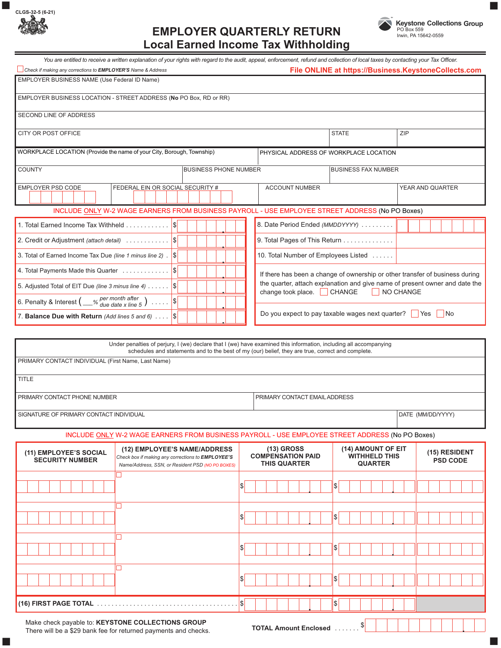| CLGS-32-5 (6-21)<br>ת ידו |                                                              | <b>Keystone Collections Group</b>            |  |
|---------------------------|--------------------------------------------------------------|----------------------------------------------|--|
|                           | CMDI AVED.<br><b>QUARTERLY RETURN</b><br>----<br>- -<br>---- | PO Box 559<br>$L_{\text{min}}$ DA 45049 0550 |  |

## **EMPLOYER QUARTERLY RETURN Local Earned Income Tax Withholding**



**.**

You are entitled to receive a written explanation of your rights with regard to the audit, appeal, enforcement, refund and collection of local taxes by contacting your Tax Officer. *Check if making any corrections to EMPLOYER'S Name & Address* **File ONLINE at https://Business.KeystoneCollects.com** EMPLOYER BusINEss NAME (use federal ID Name) EMPLOYER BusINEss LOCATION - sTREET ADDREss (**No** PO Box, RD or RR) sECOND LINE Of ADDREss CITY OR POST OFFICE 2IP A REPORT OF THE STATE STATE STATE STATE STATE STATE STATE STATE STATE STATE STATE STATE STATE STATE STATE STATE STATE STATE STATE STATE STATE STATE STATE STATE STATE STATE STATE STATE STATE STATE ST WORKPLACE LOCATION (Provide the name of your City, Borough, Township) PHYSICAL ADDRESS OF WORKPLACE LOCATION COUNTY **BUSINESS PHONE NUMBER** BUSINESS FAX NUMBER EMPLOYER PSD CODE FEDERAL EIN OR SOCIAL SECURITY # ACCOUNT NUMBER YEAR AND QUARTER INCLUDE ONLY W-2 WAGE EARNERS FROM BUSINESS PAYROLL - USE EMPLOYEE STREET ADDRESS (No PO Boxes) 1. Total Earned Income Tax Withheld . . . . . . . . . . . . \$ 8. Date Period Ended *(MMDDYYYY)* . . . . . . . . . **.** 9. Total Pages of This Return . . . . . . . . . . . . . 2. Credit or Adjustment *(attach detail)* . . . . . . . . . . . . \$ **.** 3. Total of Earned Income Tax Due *(line 1 minus line 2)* . \$ 10. Total Number of Employees Listed . . . . . . **.** 4. Total Payments Made this Quarter  $\dots\dots\dots\dots$ If there has been a change of ownership or other transfer of business during **.** the quarter, attach explanation and give name of present owner and date the 5. Adjusted Total of EIT Due *(line 3 minus line 4)* . . . . . . \$ **.** change took place. CHANGE NO CHANGE *per month after*  6. Penalty & Interest  $\left(\_\_\_\%$  *per montri after*  $\right)$  ..... \$ *due date x line 5* **.** Do you expect to pay taxable wages next quarter? <u>Ves</u> No 7. **Balance Due with Return** *(Add lines 5 and 6)* . . . . **\$ .** under penalties of perjury, I (we) declare that I (we) have examined this information, including all accompanying schedules and statements and to the best of my (our) belief, they are true, correct and complete. PRIMARY CONTACT INDIvIDuAL (first Name, Last Name) **TITLE** PRIMARY CONTACT PHONE NUMBER PRIMARY CONTACT EMAIL ADDRESS SIGNATURE OF PRIMARY CONTACT INDIVIDUAL **DATE (MM/DD/YYYY)** and the state of primary contact individual data of the state of primary contact individual data of the state of primary contact individual data of the state of t INCLUDE ONLY W-2 WAGE EARNERS FROM BUSINESS PAYROLL - USE EMPLOYEE STREET ADDRESS (No PO Boxes) **(12) EMPLOYEE'S NAME/ADDRESS (13) GROSS (14) AMOUNT OF EIT (11) EMPLOYEE'S SOCIAL (15) RESIDENT COMPENSATION PAID WITHHELD THIS** *Check box if making any corrections to EMPLOYEE'S* **SECURITY NUMBER PSD CODE THIS QUARTER QUARTER** *Name/Address, SSN, or Resident PSD (NO PO BOXES)* \$ \$ **. .** □ \$ \$ **. .**  $\Box$ \$ \$ **. .** □ \$ \$ **. . (16) FIRST PAGE TOTAL** . . . . . . . . . . . . . . . . . . . . . . . . . . . . . . . . . . . . . . . \$ \$ **. .**

Make check payable to: **KEYSTONE COLLECTIONS GROUP**<br>There will be a \$29 bank foo for returned payments and checks **TOTAL Amount Enclosed** . . . . . . . . . . . . . . There will be a \$29 bank fee for returned payments and checks. ■ ■